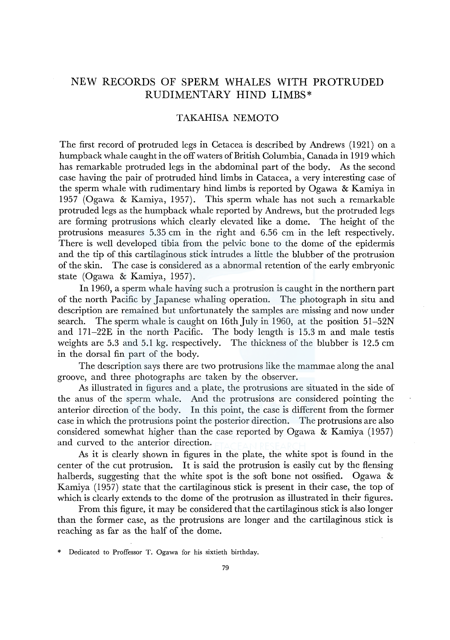## NEW RECORDS OF SPERM WHALES WITH PROTRUDED RUDIMENTARY HIND LIMBS\*

## TAKAHISA NEMOTO

The first record of protruded legs in Cetacea is described by Andrews (1921) on a humpback whale caught in the off waters of British Columbia, Canada in 1919 which has remarkable protruded legs in the abdominal part of the body. As the second case having the pair of protruded hind limbs in Catacea, a very interesting case of the sperm whale with rudimentary hind limbs is reported by Ogawa & Kamiya in 1957 (Ogawa & Kamiya, 1957). This sperm whale has not such a remarkable protruded legs as the humpback whale reported by Andrews, but the protruded legs are forming protrusions which clearly elevated like a dome. The height of the protrusions measures 5.35 cm in the right and 6.56 cm in the left respectively. There is well developed tibia from the pelvic bone to the dome of the epidermis and the tip of this cartilaginous stick intrudes a little the blubber of the protrusion of the skin. The case is considered as a abnormal retention of the early embryonic state (Ogawa & Kamiya, 1957).

In 1960, a sperm whale having such a protrusion is caught in the northern part of the north Pacific by Japanese whaling operation. The photograph in situ and description are remained but unfortunately the samples are missing and now under search. The sperm whale is caught on 16th July in 1960, at the position  $51-52N$ and 171-22£ in the north Pacific. The body length is 15.3 m and male testis weights are 5.3 and 5.1 kg. respectively. The thickness of the blubber is 12.5 cm in the dorsal fin part of the body.

The description says there are two protrusions like the mammae along the anal groove, and three photographs are taken by the observer.

As illustrated in figures and a plate, the protrusions are situated in the side of the anus of the sperm whale. And the protrusions are considered pointing the anterior direction of the body. In this point, the case is different from the former case in which the protrusions point the posterior direction. The protrusions are also considered somewhat higher than the case reported by Ogawa & Kamiya (1957) and curved to the anterior direction.

As it is clearly shown in figures in the plate, the white spot is found in the center of the cut protrusion. It is said the protrusion is easily cut by the flensing halberds, suggesting that the white spot is the soft bone not ossified. Ogawa  $\&$ Kamiya (1957) state that the cartilaginous stick is present in their case, the top of which is clearly extends to the dome of the protrusion as illustrated in their figures.

From this figure, it may be considered that the cartilaginous stick is also longer than the former case, as the protrusions are longer and the cartilaginous stick is reaching as far as the half of the dome.

<sup>\*</sup> Dedicated to Proffessor T. Ogawa for his sixtieth birthday.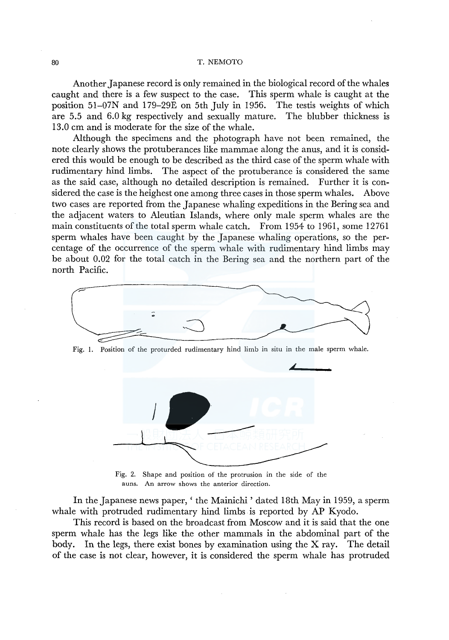## 80 T. NEMOTO

Another Japanese record is only remained in the biological record of the whales caught and there is a few suspect to the case. This sperm whale is caught at the position 51-07N and 179-29E on 5th July in 1956. The testis weights of which are 5.5 and 6.0 kg respectively and sexually mature. The blubber thickness is 13.0 cm and is moderate for the size of the whale.

Although the specimens and the photograph have not been remained, the note clearly shows the protuberances like mammae along the anus, and it is considered this would be enough to be described as the third case of the sperm whale with rudimentary hind limbs. The aspect of the protuberance is considered the same as the said case, although no detailed description is remained. Further it is considered the case is the heighest one among three cases in those sperm whales. Above two cases are reported from the Japanese whaling expeditions in the Bering sea and the adjacent waters to Aleutian Islands, where only male sperm whales are the main constituents of the total sperm whale catch. From 1954 to 1961, some 12761 sperm whales have been caught by the Japanese whaling operations, so the percentage of the occurrence of the sperm whale with rudimentary hind limbs may be about 0.02 for the total catch in the Bering sea and the northern part of the north Pacific.



Fig. I. Position of the proturded rudimentary hind limb in situ in the male sperm whale.



Fig. 2. Shape and position of the protrusion in the side of the auns. An arrow shows the anterior direction.

In the Japanese news paper,' the Mainichi' dated 18th May in 1959, a sperm whale with protruded rudimentary hind limbs is reported by AP Kyodo.

This record is based on the broadcast from Moscow and it is said that the one sperm whale has the legs like the other mammals in the abdominal part of the body. In the legs, there exist bones by examination using the X ray. The detail of the case is not clear, however, it is considered the sperm whale has protruded